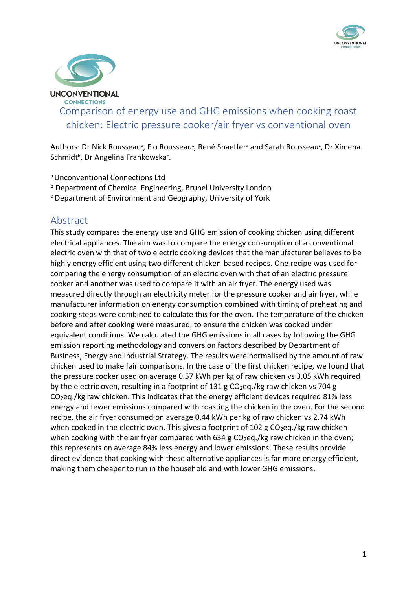



Comparison of energy use and GHG emissions when cooking roast chicken: Electric pressure cooker/air fryer vs conventional oven

Authors: Dr Nick Rousseau<sup>a</sup>, Flo Rousseau<sup>a</sup>, René Shaeffer<sup>a</sup> and Sarah Rousseau<sup>a</sup>, Dr Ximena Schmidt<sup>b</sup>, Dr Angelina Frankowska<sup>c</sup>.

- <sup>a</sup>Unconventional Connections Ltd
- **b** Department of Chemical Engineering, Brunel University London
- <sup>c</sup> Department of Environment and Geography, University of York

## Abstract

This study compares the energy use and GHG emission of cooking chicken using different electrical appliances. The aim was to compare the energy consumption of a conventional electric oven with that of two electric cooking devices that the manufacturer believes to be highly energy efficient using two different chicken-based recipes. One recipe was used for comparing the energy consumption of an electric oven with that of an electric pressure cooker and another was used to compare it with an air fryer. The energy used was measured directly through an electricity meter for the pressure cooker and air fryer, while manufacturer information on energy consumption combined with timing of preheating and cooking steps were combined to calculate this for the oven. The temperature of the chicken before and after cooking were measured, to ensure the chicken was cooked under equivalent conditions. We calculated the GHG emissions in all cases by following the GHG emission reporting methodology and conversion factors described by Department of Business, Energy and Industrial Strategy. The results were normalised by the amount of raw chicken used to make fair comparisons. In the case of the first chicken recipe, we found that the pressure cooker used on average 0.57 kWh per kg of raw chicken vs 3.05 kWh required by the electric oven, resulting in a footprint of  $131 \text{ g } CO_2$ eq./kg raw chicken vs 704 g CO2eq./kg raw chicken. This indicates that the energy efficient devices required 81% less energy and fewer emissions compared with roasting the chicken in the oven. For the second recipe, the air fryer consumed on average 0.44 kWh per kg of raw chicken vs 2.74 kWh when cooked in the electric oven. This gives a footprint of 102 g  $CO<sub>2</sub>$ eq./kg raw chicken when cooking with the air fryer compared with  $634$  g  $CO<sub>2</sub>$ eq./kg raw chicken in the oven; this represents on average 84% less energy and lower emissions. These results provide direct evidence that cooking with these alternative appliances is far more energy efficient, making them cheaper to run in the household and with lower GHG emissions.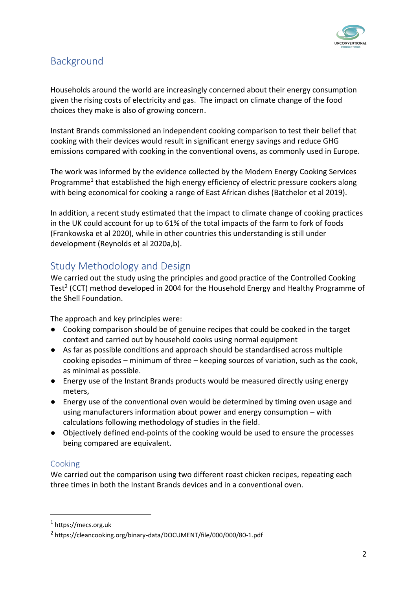

# Background

Households around the world are increasingly concerned about their energy consumption given the rising costs of electricity and gas. The impact on climate change of the food choices they make is also of growing concern.

Instant Brands commissioned an independent cooking comparison to test their belief that cooking with their devices would result in significant energy savings and reduce GHG emissions compared with cooking in the conventional ovens, as commonly used in Europe.

The work was informed by the evidence collected by the Modern Energy Cooking Services Programme<sup>1</sup> that established the high energy efficiency of electric pressure cookers along with being economical for cooking a range of East African dishes (Batchelor et al 2019).

In addition, a recent study estimated that the impact to climate change of cooking practices in the UK could account for up to 61% of the total impacts of the farm to fork of foods (Frankowska et al 2020), while in other countries this understanding is still under development (Reynolds et al 2020a,b).

# Study Methodology and Design

We carried out the study using the principles and good practice of the Controlled Cooking Test<sup>2</sup> (CCT) method developed in 2004 for the Household Energy and Healthy Programme of the Shell Foundation.

The approach and key principles were:

- Cooking comparison should be of genuine recipes that could be cooked in the target context and carried out by household cooks using normal equipment
- As far as possible conditions and approach should be standardised across multiple cooking episodes – minimum of three – keeping sources of variation, such as the cook, as minimal as possible.
- Energy use of the Instant Brands products would be measured directly using energy meters,
- Energy use of the conventional oven would be determined by timing oven usage and using manufacturers information about power and energy consumption – with calculations following methodology of studies in the field.
- Objectively defined end-points of the cooking would be used to ensure the processes being compared are equivalent.

## Cooking

We carried out the comparison using two different roast chicken recipes, repeating each three times in both the Instant Brands devices and in a conventional oven.

<sup>1</sup> https://mecs.org.uk

<sup>2</sup> https://cleancooking.org/binary-data/DOCUMENT/file/000/000/80-1.pdf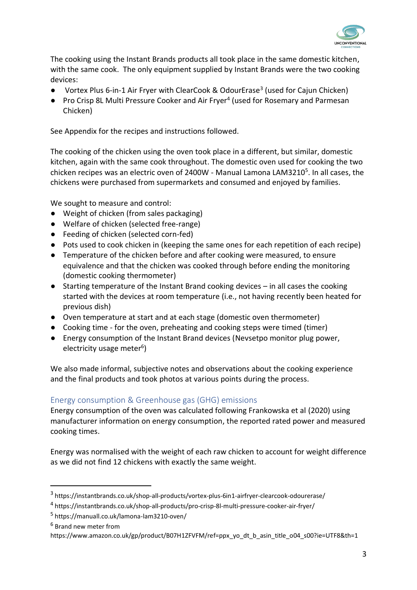

The cooking using the Instant Brands products all took place in the same domestic kitchen, with the same cook. The only equipment supplied by Instant Brands were the two cooking devices:

- Vortex Plus 6-in-1 Air Fryer with ClearCook & OdourErase<sup>3</sup> (used for Cajun Chicken)
- Pro Crisp 8L Multi Pressure Cooker and Air Fryer<sup>4</sup> (used for Rosemary and Parmesan Chicken)

See Appendix for the recipes and instructions followed.

The cooking of the chicken using the oven took place in a different, but similar, domestic kitchen, again with the same cook throughout. The domestic oven used for cooking the two chicken recipes was an electric oven of 2400W - Manual Lamona LAM3210<sup>5</sup>. In all cases, the chickens were purchased from supermarkets and consumed and enjoyed by families.

We sought to measure and control:

- Weight of chicken (from sales packaging)
- Welfare of chicken (selected free-range)
- Feeding of chicken (selected corn-fed)
- Pots used to cook chicken in (keeping the same ones for each repetition of each recipe)
- Temperature of the chicken before and after cooking were measured, to ensure equivalence and that the chicken was cooked through before ending the monitoring (domestic cooking thermometer)
- Starting temperature of the Instant Brand cooking devices in all cases the cooking started with the devices at room temperature (i.e., not having recently been heated for previous dish)
- Oven temperature at start and at each stage (domestic oven thermometer)
- Cooking time for the oven, preheating and cooking steps were timed (timer)
- Energy consumption of the Instant Brand devices (Nevsetpo monitor plug power, electricity usage meter<sup>6</sup>)

We also made informal, subjective notes and observations about the cooking experience and the final products and took photos at various points during the process.

#### Energy consumption & Greenhouse gas (GHG) emissions

Energy consumption of the oven was calculated following Frankowska et al (2020) using manufacturer information on energy consumption, the reported rated power and measured cooking times.

Energy was normalised with the weight of each raw chicken to account for weight difference as we did not find 12 chickens with exactly the same weight.

<sup>3</sup> https://instantbrands.co.uk/shop-all-products/vortex-plus-6in1-airfryer-clearcook-odourerase/

<sup>4</sup> https://instantbrands.co.uk/shop-all-products/pro-crisp-8l-multi-pressure-cooker-air-fryer/

<sup>5</sup> https://manuall.co.uk/lamona-lam3210-oven/

<sup>6</sup> Brand new meter from

https://www.amazon.co.uk/gp/product/B07H1ZFVFM/ref=ppx\_yo\_dt\_b\_asin\_title\_o04\_s00?ie=UTF8&th=1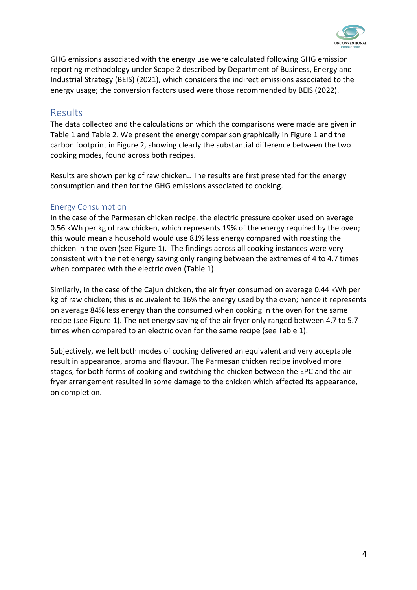

GHG emissions associated with the energy use were calculated following GHG emission reporting methodology under Scope 2 described by Department of Business, Energy and Industrial Strategy (BEIS) (2021), which considers the indirect emissions associated to the energy usage; the conversion factors used were those recommended by BEIS (2022).

## Results

The data collected and the calculations on which the comparisons were made are given in Table 1 and [Table 2.](#page-7-0) We present the energy comparison graphically in [Figure 1](#page-4-0) and the carbon footprint in [Figure 2,](#page-6-0) showing clearly the substantial difference between the two cooking modes, found across both recipes.

Results are shown per kg of raw chicken.. The results are first presented for the energy consumption and then for the GHG emissions associated to cooking.

#### Energy Consumption

In the case of the Parmesan chicken recipe, the electric pressure cooker used on average 0.56 kWh per kg of raw chicken, which represents 19% of the energy required by the oven; this would mean a household would use 81% less energy compared with roasting the chicken in the oven (see [Figure 1\)](#page-4-0). The findings across all cooking instances were very consistent with the net energy saving only ranging between the extremes of 4 to 4.7 times when compared with the electric oven [\(Table 1\)](#page-5-0).

Similarly, in the case of the Cajun chicken, the air fryer consumed on average 0.44 kWh per kg of raw chicken; this is equivalent to 16% the energy used by the oven; hence it represents on average 84% less energy than the consumed when cooking in the oven for the same recipe (see [Figure 1\)](#page-4-0). The net energy saving of the air fryer only ranged between 4.7 to 5.7 times when compared to an electric oven for the same recipe (se[e Table 1\)](#page-5-0).

Subjectively, we felt both modes of cooking delivered an equivalent and very acceptable result in appearance, aroma and flavour. The Parmesan chicken recipe involved more stages, for both forms of cooking and switching the chicken between the EPC and the air fryer arrangement resulted in some damage to the chicken which affected its appearance, on completion.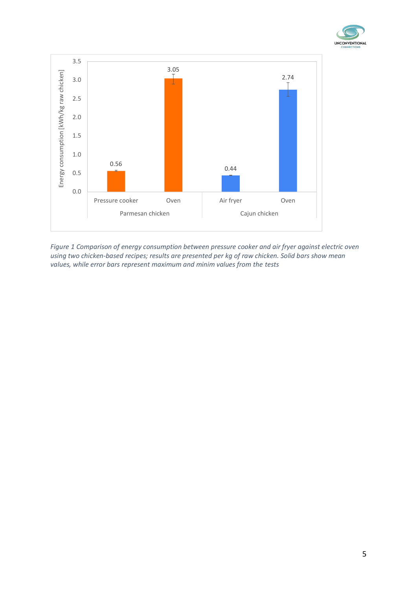



<span id="page-4-0"></span>*Figure 1 Comparison of energy consumption between pressure cooker and air fryer against electric oven using two chicken-based recipes; results are presented per kg of raw chicken. Solid bars show mean values, while error bars represent maximum and minim values from the tests*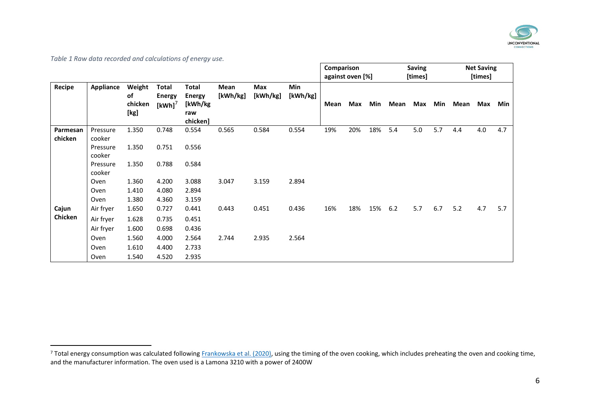

*Table 1 Raw data recorded and calculations of energy use.*

| Recipe   | Appliance          | Weight<br>of<br>chicken<br>[kg] | Total<br><b>Energy</b><br>$[kWh]$ <sup>7</sup> | <b>Total</b><br><b>Energy</b><br>[kWh/kg<br>raw<br>chicken] | Mean<br>[kWh/kg] | Max<br>[kWh/kg] | Min<br>[kWh/kg] | Comparison<br>against oven [%] |     |     | <b>Saving</b><br>[times] |     |     | <b>Net Saving</b><br>[times] |     |     |
|----------|--------------------|---------------------------------|------------------------------------------------|-------------------------------------------------------------|------------------|-----------------|-----------------|--------------------------------|-----|-----|--------------------------|-----|-----|------------------------------|-----|-----|
|          |                    |                                 |                                                |                                                             |                  |                 |                 | Mean                           | Max | Min | Mean                     | Max | Min | Mean                         | Max | Min |
| Parmesan | Pressure           | 1.350                           | 0.748                                          | 0.554                                                       | 0.565            | 0.584           | 0.554           | 19%                            | 20% | 18% | 5.4                      | 5.0 | 5.7 | 4.4                          | 4.0 | 4.7 |
| chicken  | cooker             |                                 |                                                |                                                             |                  |                 |                 |                                |     |     |                          |     |     |                              |     |     |
|          | Pressure<br>cooker | 1.350                           | 0.751                                          | 0.556                                                       |                  |                 |                 |                                |     |     |                          |     |     |                              |     |     |
|          | Pressure<br>cooker | 1.350                           | 0.788                                          | 0.584                                                       |                  |                 |                 |                                |     |     |                          |     |     |                              |     |     |
|          | Oven               | 1.360                           | 4.200                                          | 3.088                                                       | 3.047            | 3.159           | 2.894           |                                |     |     |                          |     |     |                              |     |     |
|          | Oven               | 1.410                           | 4.080                                          | 2.894                                                       |                  |                 |                 |                                |     |     |                          |     |     |                              |     |     |
|          | Oven               | 1.380                           | 4.360                                          | 3.159                                                       |                  |                 |                 |                                |     |     |                          |     |     |                              |     |     |
| Cajun    | Air fryer          | 1.650                           | 0.727                                          | 0.441                                                       | 0.443            | 0.451           | 0.436           | 16%                            | 18% | 15% | $6.2$                    | 5.7 | 6.7 | 5.2                          | 4.7 | 5.7 |
| Chicken  | Air fryer          | 1.628                           | 0.735                                          | 0.451                                                       |                  |                 |                 |                                |     |     |                          |     |     |                              |     |     |
|          | Air fryer          | 1.600                           | 0.698                                          | 0.436                                                       |                  |                 |                 |                                |     |     |                          |     |     |                              |     |     |
|          | Oven               | 1.560                           | 4.000                                          | 2.564                                                       | 2.744            | 2.935           | 2.564           |                                |     |     |                          |     |     |                              |     |     |
|          | Oven               | 1.610                           | 4.400                                          | 2.733                                                       |                  |                 |                 |                                |     |     |                          |     |     |                              |     |     |
|          | Oven               | 1.540                           | 4.520                                          | 2.935                                                       |                  |                 |                 |                                |     |     |                          |     |     |                              |     |     |

<span id="page-5-0"></span><sup>&</sup>lt;sup>7</sup> Total energy consumption was calculated following [Frankowska et al. \(2020\),](https://doi.org/10.1038/s43016-020-00200-w) using the timing of the oven cooking, which includes preheating the oven and cooking time, and the manufacturer information. The oven used is a Lamona 3210 with a power of 2400W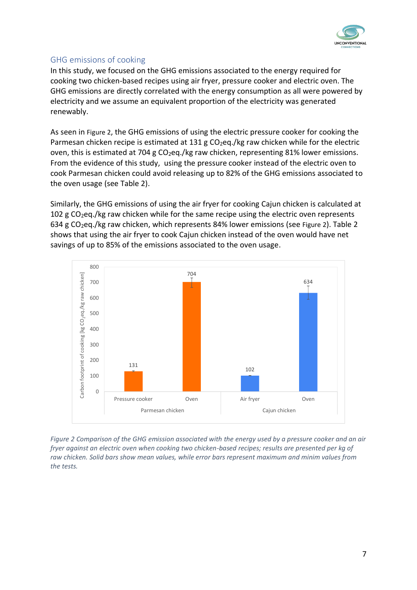

### GHG emissions of cooking

In this study, we focused on the GHG emissions associated to the energy required for cooking two chicken-based recipes using air fryer, pressure cooker and electric oven. The GHG emissions are directly correlated with the energy consumption as all were powered by electricity and we assume an equivalent proportion of the electricity was generated renewably.

As seen in [Figure 2](#page-6-0), the GHG emissions of using the electric pressure cooker for cooking the Parmesan chicken recipe is estimated at 131 g  $CO<sub>2</sub>$ eg./kg raw chicken while for the electric oven, this is estimated at 704 g  $CO<sub>2</sub>$ eg./kg raw chicken, representing 81% lower emissions. From the evidence of this study, using the pressure cooker instead of the electric oven to cook Parmesan chicken could avoid releasing up to 82% of the GHG emissions associated to the oven usage (see [Table 2\)](#page-7-0).

Similarly, the GHG emissions of using the air fryer for cooking Cajun chicken is calculated at 102 g CO<sub>2</sub>eq./kg raw chicken while for the same recipe using the electric oven represents 634 g CO2eq./kg raw chicken, which represents 84% lower emissions (see [Figure 2](#page-6-0)). [Table 2](#page-7-0) shows that using the air fryer to cook Cajun chicken instead of the oven would have net savings of up to 85% of the emissions associated to the oven usage.



<span id="page-6-0"></span>*Figure 2 Comparison of the GHG emission associated with the energy used by a pressure cooker and an air fryer against an electric oven when cooking two chicken-based recipes; results are presented per kg of raw chicken. Solid bars show mean values, while error bars represent maximum and minim values from the tests.*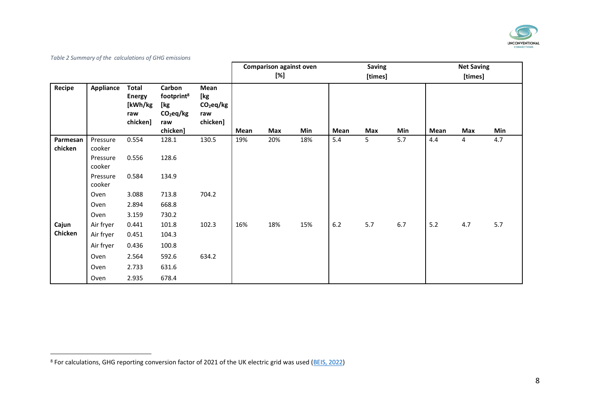

*Table 2 Summary of the calculations of GHG emissions*

|          |                  |                                                             |                                                                           |                                                         |      | <b>Comparison against oven</b> |     | <b>Saving</b> |         |     | <b>Net Saving</b> |     |     |  |
|----------|------------------|-------------------------------------------------------------|---------------------------------------------------------------------------|---------------------------------------------------------|------|--------------------------------|-----|---------------|---------|-----|-------------------|-----|-----|--|
|          |                  |                                                             |                                                                           |                                                         | [%]  |                                |     |               | [times] |     | [times]           |     |     |  |
| Recipe   | <b>Appliance</b> | <b>Total</b><br><b>Energy</b><br>[kWh/kg<br>raw<br>chicken] | Carbon<br>footprint <sup>8</sup><br>[kg<br>$CO2$ eq/kg<br>raw<br>chicken] | Mean<br>[kg<br>CO <sub>2</sub> eq/kg<br>raw<br>chicken] | Mean | Max                            | Min | Mean          | Max     | Min | Mean              | Max | Min |  |
| Parmesan | Pressure         | 0.554                                                       | 128.1                                                                     | 130.5                                                   | 19%  | 20%                            | 18% | 5.4           | 5       | 5.7 | 4.4               | 4   | 4.7 |  |
| chicken  | cooker           |                                                             |                                                                           |                                                         |      |                                |     |               |         |     |                   |     |     |  |
|          | Pressure         | 0.556                                                       | 128.6                                                                     |                                                         |      |                                |     |               |         |     |                   |     |     |  |
|          | cooker           |                                                             |                                                                           |                                                         |      |                                |     |               |         |     |                   |     |     |  |
|          | Pressure         | 0.584                                                       | 134.9                                                                     |                                                         |      |                                |     |               |         |     |                   |     |     |  |
|          | cooker           |                                                             |                                                                           |                                                         |      |                                |     |               |         |     |                   |     |     |  |
|          | Oven             | 3.088                                                       | 713.8                                                                     | 704.2                                                   |      |                                |     |               |         |     |                   |     |     |  |
|          | Oven             | 2.894                                                       | 668.8                                                                     |                                                         |      |                                |     |               |         |     |                   |     |     |  |
|          | Oven             | 3.159                                                       | 730.2                                                                     |                                                         |      |                                |     |               |         |     |                   |     |     |  |
| Cajun    | Air fryer        | 0.441                                                       | 101.8                                                                     | 102.3                                                   | 16%  | 18%                            | 15% | $6.2$         | 5.7     | 6.7 | 5.2               | 4.7 | 5.7 |  |
| Chicken  | Air fryer        | 0.451                                                       | 104.3                                                                     |                                                         |      |                                |     |               |         |     |                   |     |     |  |
|          | Air fryer        | 0.436                                                       | 100.8                                                                     |                                                         |      |                                |     |               |         |     |                   |     |     |  |
|          | Oven             | 2.564                                                       | 592.6                                                                     | 634.2                                                   |      |                                |     |               |         |     |                   |     |     |  |
|          | Oven             | 2.733                                                       | 631.6                                                                     |                                                         |      |                                |     |               |         |     |                   |     |     |  |
|          | Oven             | 2.935                                                       | 678.4                                                                     |                                                         |      |                                |     |               |         |     |                   |     |     |  |

<span id="page-7-0"></span><sup>&</sup>lt;sup>8</sup> For calculations, GHG reporting conversion factor of 2021 of the UK electric grid was used [\(BEIS, 2022\)](https://www.gov.uk/government/publications/greenhouse-gas-reporting-conversion-factors-2021)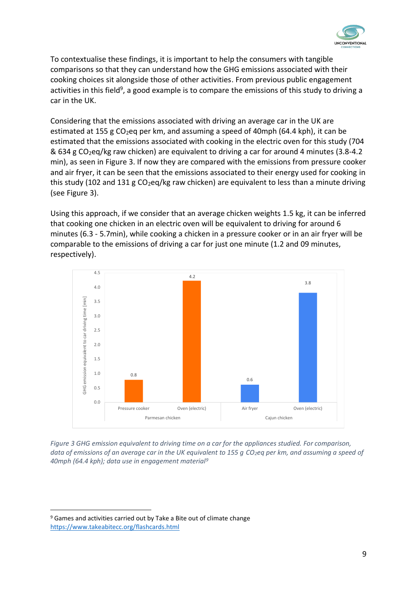

<span id="page-8-1"></span>To contextualise these findings, it is important to help the consumers with tangible comparisons so that they can understand how the GHG emissions associated with their cooking choices sit alongside those of other activities. From previous public engagement activities in this field<sup>9</sup>, a good example is to compare the emissions of this study to driving a car in the UK.

Considering that the emissions associated with driving an average car in the UK are estimated at 155 g CO<sub>2</sub>eq per km, and assuming a speed of 40mph (64.4 kph), it can be estimated that the emissions associated with cooking in the electric oven for this study (704 & 634 g CO<sub>2</sub>eq/kg raw chicken) are equivalent to driving a car for around 4 minutes (3.8-4.2) min), as seen i[n Figure 3.](#page-8-0) If now they are compared with the emissions from pressure cooker and air fryer, it can be seen that the emissions associated to their energy used for cooking in this study (102 and 131 g  $CO<sub>2</sub>$ eq/kg raw chicken) are equivalent to less than a minute driving (see [Figure 3\)](#page-8-0).

Using this approach, if we consider that an average chicken weights 1.5 kg, it can be inferred that cooking one chicken in an electric oven will be equivalent to driving for around 6 minutes (6.3 - 5.7min), while cooking a chicken in a pressure cooker or in an air fryer will be comparable to the emissions of driving a car for just one minute (1.2 and 09 minutes, respectively).



<span id="page-8-0"></span>*Figure 3 GHG emission equivalent to driving time on a car for the appliances studied. For comparison, data of emissions of an average car in the UK equivalent to 155 g CO2eq per km, and assuming a speed of 40mph (64.4 kph); data use in engagement materi[al](#page-8-1)<sup>9</sup>*

<sup>9</sup> Games and activities carried out by Take a Bite out of climate change <https://www.takeabitecc.org/flashcards.html>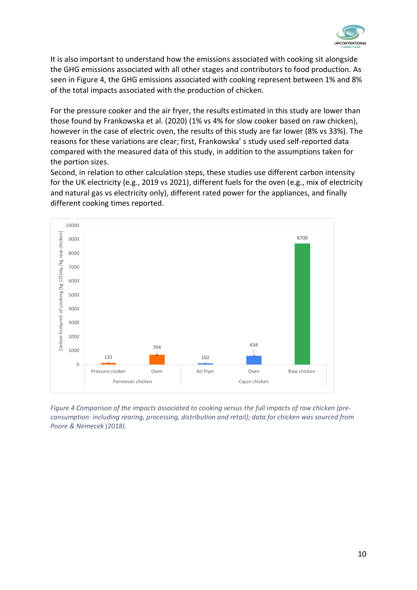

It is also important to understand how the emissions associated with cooking sit alongside the GHG emissions associated with all other stages and contributors to food production. As seen in [Figure 4,](#page-9-0) the GHG emissions associated with cooking represent between 1% and 8% of the total impacts associated with the production of chicken.

For the pressure cooker and the air fryer, the results estimated in this study are lower than those found by Frankowska et al. (2020) (1% vs 4% for slow cooker based on raw chicken), however in the case of electric oven, the results of this study are far lower (8% vs 33%). The reasons for these variations are clear; first, Frankowska' s study used self-reported data compared with the measured data of this study, in addition to the assumptions taken for the portion sizes.

Second, in relation to other calculation steps, these studies use different carbon intensity for the UK electricity (e.g., 2019 vs 2021), different fuels for the oven (e.g., mix of electricity and natural gas vs electricity only), different rated power for the appliances, and finally different cooking times reported.



<span id="page-9-0"></span>*Figure 4 Comparison of the impacts associated to cooking versus the full impacts of raw chicken (preconsumption: including rearing, processing, distribution and retail); data for chicken was sourced from Poore & Nemecek (2018).*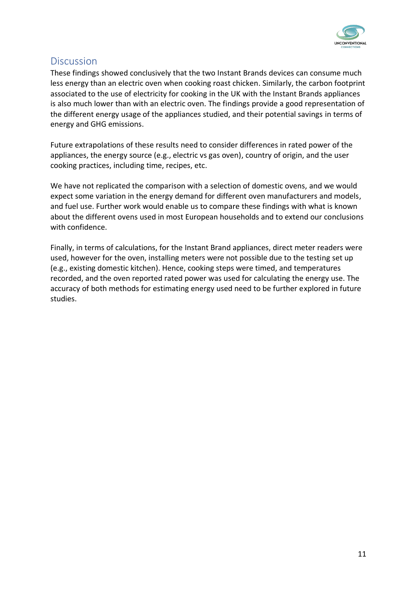

# Discussion

These findings showed conclusively that the two Instant Brands devices can consume much less energy than an electric oven when cooking roast chicken. Similarly, the carbon footprint associated to the use of electricity for cooking in the UK with the Instant Brands appliances is also much lower than with an electric oven. The findings provide a good representation of the different energy usage of the appliances studied, and their potential savings in terms of energy and GHG emissions.

Future extrapolations of these results need to consider differences in rated power of the appliances, the energy source (e.g., electric vs gas oven), country of origin, and the user cooking practices, including time, recipes, etc.

We have not replicated the comparison with a selection of domestic ovens, and we would expect some variation in the energy demand for different oven manufacturers and models, and fuel use. Further work would enable us to compare these findings with what is known about the different ovens used in most European households and to extend our conclusions with confidence.

Finally, in terms of calculations, for the Instant Brand appliances, direct meter readers were used, however for the oven, installing meters were not possible due to the testing set up (e.g., existing domestic kitchen). Hence, cooking steps were timed, and temperatures recorded, and the oven reported rated power was used for calculating the energy use. The accuracy of both methods for estimating energy used need to be further explored in future studies.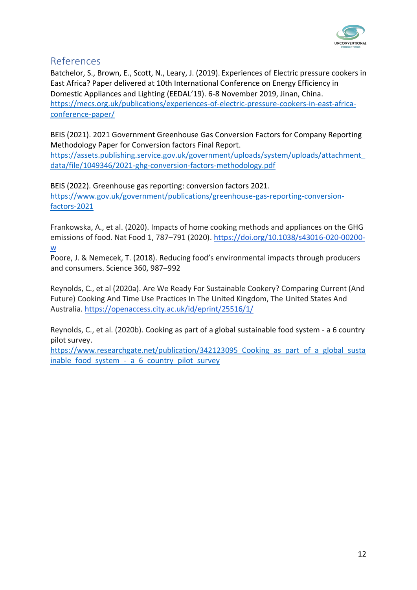

# References

Batchelor, S., Brown, E., Scott, N., Leary, J. (2019). Experiences of Electric pressure cookers in East Africa? Paper delivered at 10th International Conference on Energy Efficiency in Domestic Appliances and Lighting (EEDAL'19). 6-8 November 2019, Jinan, China. [https://mecs.org.uk/publications/experiences-of-electric-pressure-cookers-in-east-africa](https://mecs.org.uk/publications/experiences-of-electric-pressure-cookers-in-east-africa-conference-paper/)[conference-paper/](https://mecs.org.uk/publications/experiences-of-electric-pressure-cookers-in-east-africa-conference-paper/)

BEIS (2021). 2021 Government Greenhouse Gas Conversion Factors for Company Reporting Methodology Paper for Conversion factors Final Report.

[https://assets.publishing.service.gov.uk/government/uploads/system/uploads/attachment\\_](https://assets.publishing.service.gov.uk/government/uploads/system/uploads/attachment_data/file/1049346/2021-ghg-conversion-factors-methodology.pdf) [data/file/1049346/2021-ghg-conversion-factors-methodology.pdf](https://assets.publishing.service.gov.uk/government/uploads/system/uploads/attachment_data/file/1049346/2021-ghg-conversion-factors-methodology.pdf)

BEIS (2022). Greenhouse gas reporting: conversion factors 2021. [https://www.gov.uk/government/publications/greenhouse-gas-reporting-conversion](https://www.gov.uk/government/publications/greenhouse-gas-reporting-conversion-factors-2021)[factors-2021](https://www.gov.uk/government/publications/greenhouse-gas-reporting-conversion-factors-2021)

Frankowska, A., et al. (2020). Impacts of home cooking methods and appliances on the GHG emissions of food. Nat Food 1, 787–791 (2020). [https://doi.org/10.1038/s43016-020-00200](https://doi.org/10.1038/s43016-020-00200-w) [w](https://doi.org/10.1038/s43016-020-00200-w)

Poore, J. & Nemecek, T. (2018). Reducing food's environmental impacts through producers and consumers. Science 360, 987–992

Reynolds, C., et al (2020a). Are We Ready For Sustainable Cookery? Comparing Current (And Future) Cooking And Time Use Practices In The United Kingdom, The United States And Australia. <https://openaccess.city.ac.uk/id/eprint/25516/1/>

Reynolds, C., et al. (2020b). Cooking as part of a global sustainable food system - a 6 country pilot survey.

https://www.researchgate.net/publication/342123095 Cooking as part of a global susta inable food system - a 6 country pilot survey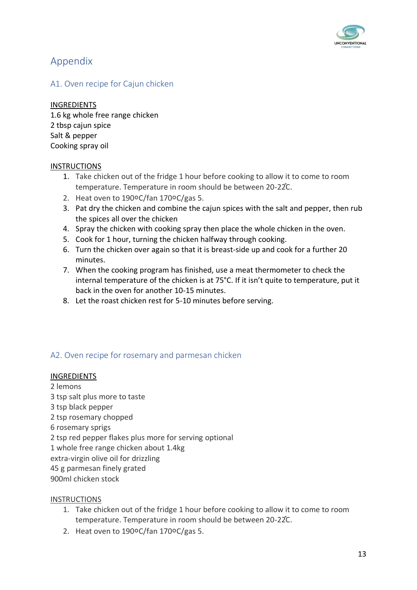

# Appendix

### A1. Oven recipe for Cajun chicken

#### INGREDIENTS

1.6 kg whole free range chicken 2 tbsp cajun spice Salt & pepper Cooking spray oil

#### **INSTRUCTIONS**

- 1. Take chicken out of the fridge 1 hour before cooking to allow it to come to room temperature. Temperature in room should be between 20-22<sup>°</sup>C.
- 2. Heat oven to 190०C/fan 170०C/gas 5.
- 3. Pat dry the chicken and combine the cajun spices with the salt and pepper, then rub the spices all over the chicken
- 4. Spray the chicken with cooking spray then place the whole chicken in the oven.
- 5. Cook for 1 hour, turning the chicken halfway through cooking.
- 6. Turn the chicken over again so that it is breast-side up and cook for a further 20 minutes.
- 7. When the cooking program has finished, use a meat thermometer to check the internal temperature of the chicken is at 75°C. If it isn't quite to temperature, put it back in the oven for another 10-15 minutes.
- 8. Let the roast chicken rest for 5-10 minutes before serving.

## A2. Oven recipe for rosemary and parmesan chicken

#### INGREDIENTS

2 lemons tsp salt plus more to taste tsp black pepper tsp rosemary chopped rosemary sprigs tsp red pepper flakes plus more for serving optional whole free range chicken about 1.4kg extra-virgin olive oil for drizzling g parmesan finely grated 900ml chicken stock

#### INSTRUCTIONS

- 1. Take chicken out of the fridge 1 hour before cooking to allow it to come to room temperature. Temperature in room should be between 20-22<sup>°</sup>C.
- 2. Heat oven to 190०C/fan 170०C/gas 5.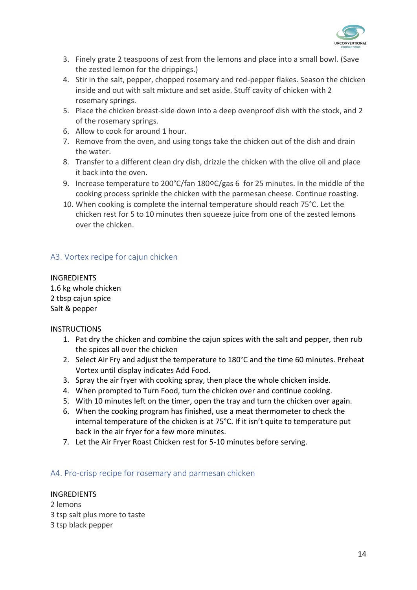

- 3. Finely grate 2 teaspoons of zest from the lemons and place into a small bowl. (Save the zested lemon for the drippings.)
- 4. Stir in the salt, pepper, chopped rosemary and red-pepper flakes. Season the chicken inside and out with salt mixture and set aside. Stuff cavity of chicken with 2 rosemary springs.
- 5. Place the chicken breast-side down into a deep ovenproof dish with the stock, and 2 of the rosemary springs.
- 6. Allow to cook for around 1 hour.
- 7. Remove from the oven, and using tongs take the chicken out of the dish and drain the water.
- 8. Transfer to a different clean dry dish, drizzle the chicken with the olive oil and place it back into the oven.
- 9. Increase temperature to 200°C/fan 180°C/gas 6 for 25 minutes. In the middle of the cooking process sprinkle the chicken with the parmesan cheese. Continue roasting.
- 10. When cooking is complete the internal temperature should reach 75°C. Let the chicken rest for 5 to 10 minutes then squeeze juice from one of the zested lemons over the chicken.

## A3. Vortex recipe for cajun chicken

INGREDIENTS 1.6 kg whole chicken 2 tbsp cajun spice Salt & pepper

#### **INSTRUCTIONS**

- 1. Pat dry the chicken and combine the cajun spices with the salt and pepper, then rub the spices all over the chicken
- 2. Select Air Fry and adjust the temperature to 180°C and the time 60 minutes. Preheat Vortex until display indicates Add Food.
- 3. Spray the air fryer with cooking spray, then place the whole chicken inside.
- 4. When prompted to Turn Food, turn the chicken over and continue cooking.
- 5. With 10 minutes left on the timer, open the tray and turn the chicken over again.
- 6. When the cooking program has finished, use a meat thermometer to check the internal temperature of the chicken is at 75°C. If it isn't quite to temperature put back in the air fryer for a few more minutes.
- 7. Let the Air Fryer Roast Chicken rest for 5-10 minutes before serving.

#### A4. Pro-crisp recipe for rosemary and parmesan chicken

#### INGREDIENTS

2 lemons 3 tsp salt plus more to taste 3 tsp black pepper